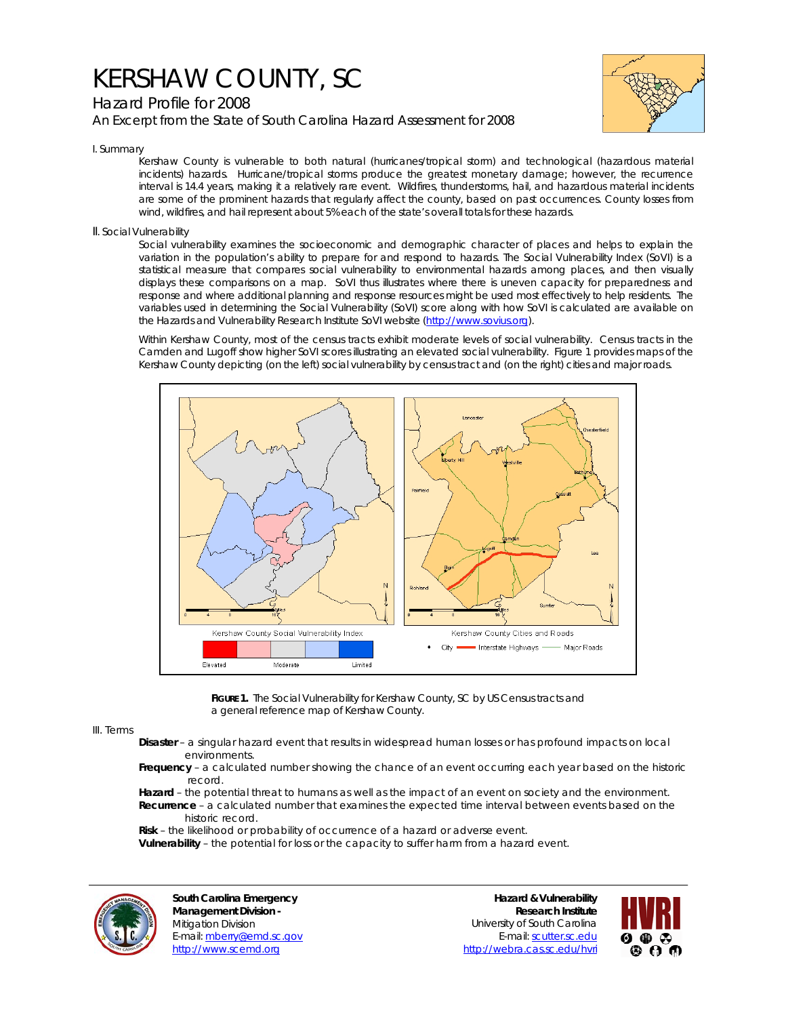## KERSHAW COUNTY, SC

## Hazard Profile for 2008 *An Excerpt from the State of South Carolina Hazard Assessment for 2008*



I. Summary

Kershaw County is vulnerable to both natural (hurricanes/tropical storm) and technological (hazardous material incidents) hazards. Hurricane/tropical storms produce the greatest monetary damage; however, the recurrence interval is 14.4 years, making it a relatively rare event. Wildfires, thunderstorms, hail, and hazardous material incidents are some of the prominent hazards that regularly affect the county, based on past occurrences. County losses from wind, wildfires, and hail represent about 5% each of the state's overall totals for these hazards.

II. Social Vulnerability

Social vulnerability examines the socioeconomic and demographic character of places and helps to explain the variation in the population's ability to prepare for and respond to hazards. The Social Vulnerability Index (SoVI) is a statistical measure that compares social vulnerability to environmental hazards among places, and then visually displays these comparisons on a map. SoVI thus illustrates where there is uneven capacity for preparedness and response and where additional planning and response resources might be used most effectively to help residents. The variables used in determining the Social Vulnerability (SoVI) score along with how SoVI is calculated are available on the Hazards and Vulnerability Research Institute SoVI website (http://www.sovius.org).

Within Kershaw County, most of the census tracts exhibit moderate levels of social vulnerability. Census tracts in the Camden and Lugoff show higher SoVI scores illustrating an elevated social vulnerability. Figure 1 provides maps of the Kershaw County depicting (on the left) social vulnerability by census tract and (on the right) cities and major roads.



FIGURE 1. The Social Vulnerability for Kershaw County, SC by US Census tracts and a general reference map of Kershaw County.

## III. Terms

- **Disaster** a singular hazard event that results in widespread human losses or has profound impacts on local environments.
- **Frequency** a calculated number showing the chance of an event occurring each year based on the historic record.
- **Hazard** the potential threat to humans as well as the impact of an event on society and the environment.  **Recurrence** – a calculated number that examines the expected time interval between events based on the historic record.
- **Risk** the likelihood or probability of occurrence of a hazard or adverse event.

 **Vulnerability** – the potential for loss or the capacity to suffer harm from a hazard event.



**South Carolina Emergency Management Division -**  Mitigation Division E-mail: mberry@emd.sc.gov http://www.scemd.org

**Hazard & Vulnerability Research Institute**  University of South Carolina E-mail: scutter.sc.edu http://webra.cas.sc.edu/hvri

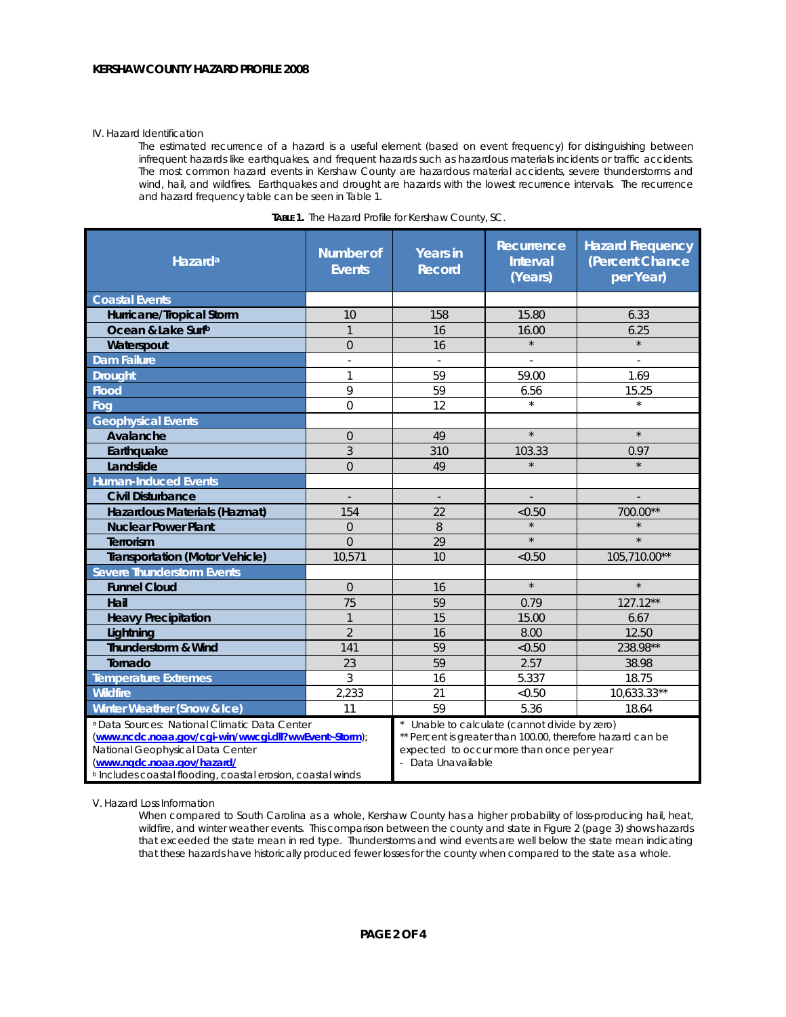## IV. Hazard Identification

The estimated recurrence of a hazard is a useful element (based on event frequency) for distinguishing between infrequent hazards like earthquakes, and frequent hazards such as hazardous materials incidents or traffic accidents. The most common hazard events in Kershaw County are hazardous material accidents, severe thunderstorms and wind, hail, and wildfires. Earthquakes and drought are hazards with the lowest recurrence intervals. The recurrence and hazard frequency table can be seen in Table 1.

| Hazard <sup>a</sup>                                                                                                                                                                                                                               | <b>Number of</b><br><b>Events</b> | <b>Years in</b><br><b>Record</b>                                                                                                                                             | Recurrence<br>Interval<br>(Years) | <b>Hazard Frequency</b><br>(Percent Chance<br>per Year) |
|---------------------------------------------------------------------------------------------------------------------------------------------------------------------------------------------------------------------------------------------------|-----------------------------------|------------------------------------------------------------------------------------------------------------------------------------------------------------------------------|-----------------------------------|---------------------------------------------------------|
| <b>Coastal Events</b>                                                                                                                                                                                                                             |                                   |                                                                                                                                                                              |                                   |                                                         |
| Hurricane/Tropical Storm                                                                                                                                                                                                                          | 10                                | 158                                                                                                                                                                          | 15.80                             | 6.33                                                    |
| Ocean & Lake Surfb                                                                                                                                                                                                                                | $\mathbf{1}$                      | 16                                                                                                                                                                           | 16.00                             | 6.25                                                    |
| Waterspout                                                                                                                                                                                                                                        | $\Omega$                          | 16                                                                                                                                                                           | $\star$                           | $\star$                                                 |
| <b>Dam Failure</b>                                                                                                                                                                                                                                | ÷.                                | ÷                                                                                                                                                                            |                                   |                                                         |
| <b>Drought</b>                                                                                                                                                                                                                                    | 1                                 | 59                                                                                                                                                                           | 59.00                             | 1.69                                                    |
| <b>Flood</b>                                                                                                                                                                                                                                      | 9                                 | 59                                                                                                                                                                           | 6.56                              | 15.25                                                   |
| Fog                                                                                                                                                                                                                                               | $\overline{O}$                    | 12                                                                                                                                                                           | $\star$                           | $\star$                                                 |
| <b>Geophysical Events</b>                                                                                                                                                                                                                         |                                   |                                                                                                                                                                              |                                   |                                                         |
| Avalanche                                                                                                                                                                                                                                         | $\Omega$                          | 49                                                                                                                                                                           | $\star$                           | $\star$                                                 |
| Earthquake                                                                                                                                                                                                                                        | 3                                 | 310                                                                                                                                                                          | 103.33                            | 0.97                                                    |
| Landslide                                                                                                                                                                                                                                         | $\overline{0}$                    | 49                                                                                                                                                                           | $\star$                           |                                                         |
| <b>Human-Induced Events</b>                                                                                                                                                                                                                       |                                   |                                                                                                                                                                              |                                   |                                                         |
| <b>Civil Disturbance</b>                                                                                                                                                                                                                          | $\overline{\phantom{a}}$          | $\overline{\phantom{a}}$                                                                                                                                                     |                                   |                                                         |
| Hazardous Materials (Hazmat)                                                                                                                                                                                                                      | 154                               | 22                                                                                                                                                                           | < 0.50                            | 700.00**                                                |
| <b>Nuclear Power Plant</b>                                                                                                                                                                                                                        | $\overline{0}$                    | 8                                                                                                                                                                            | $\star$                           |                                                         |
| Terrorism                                                                                                                                                                                                                                         | $\Omega$                          | 29                                                                                                                                                                           | $\star$                           | $\star$                                                 |
| <b>Transportation (Motor Vehicle)</b>                                                                                                                                                                                                             | 10,571                            | 10                                                                                                                                                                           | < 0.50                            | 105,710.00**                                            |
| <b>Severe Thunderstorm Events</b>                                                                                                                                                                                                                 |                                   |                                                                                                                                                                              |                                   |                                                         |
| <b>Funnel Cloud</b>                                                                                                                                                                                                                               | $\Omega$                          | 16                                                                                                                                                                           | $\star$                           | $\star$                                                 |
| Hail                                                                                                                                                                                                                                              | 75                                | 59                                                                                                                                                                           | 0.79                              | 127.12**                                                |
| <b>Heavy Precipitation</b>                                                                                                                                                                                                                        | $\mathbf{1}$                      | 15                                                                                                                                                                           | 15.00                             | 6.67                                                    |
| Lightning                                                                                                                                                                                                                                         | $\overline{2}$                    | 16                                                                                                                                                                           | 8.00                              | 12.50                                                   |
| Thunderstorm & Wind                                                                                                                                                                                                                               | 141                               | 59                                                                                                                                                                           | < 0.50                            | 238.98**                                                |
| Tornado                                                                                                                                                                                                                                           | 23                                | 59                                                                                                                                                                           | 2.57                              | 38.98                                                   |
| <b>Temperature Extremes</b>                                                                                                                                                                                                                       | 3                                 | 16                                                                                                                                                                           | 5.337                             | 18.75                                                   |
| <b>Wildfire</b>                                                                                                                                                                                                                                   | 2,233                             | 21                                                                                                                                                                           | < 0.50                            | 10,633.33**                                             |
| Winter Weather (Snow & Ice)                                                                                                                                                                                                                       | 11                                | 59                                                                                                                                                                           | 5.36                              | 18.64                                                   |
| a Data Sources: National Climatic Data Center<br>(www.ncdc.noaa.gov/cgi-win/wwcgi.dll?wwEvent~Storm);<br>National Geophysical Data Center<br>(www.ngdc.noaa.gov/hazard/<br><sup>b</sup> Includes coastal flooding, coastal erosion, coastal winds |                                   | Unable to calculate (cannot divide by zero)<br>** Percent is greater than 100.00, therefore hazard can be<br>expected to occur more than once per year<br>- Data Unavailable |                                   |                                                         |

| <b>TABLE 1.</b> The Hazard Profile for Kershaw County, SC. |  |
|------------------------------------------------------------|--|
|------------------------------------------------------------|--|

V. Hazard Loss Information

When compared to South Carolina as a whole, Kershaw County has a higher probability of loss-producing hail, heat, wildfire, and winter weather events. This comparison between the county and state in Figure 2 (page 3) shows hazards that exceeded the state mean in red type. Thunderstorms and wind events are well below the state mean indicating that these hazards have historically produced fewer losses for the county when compared to the state as a whole.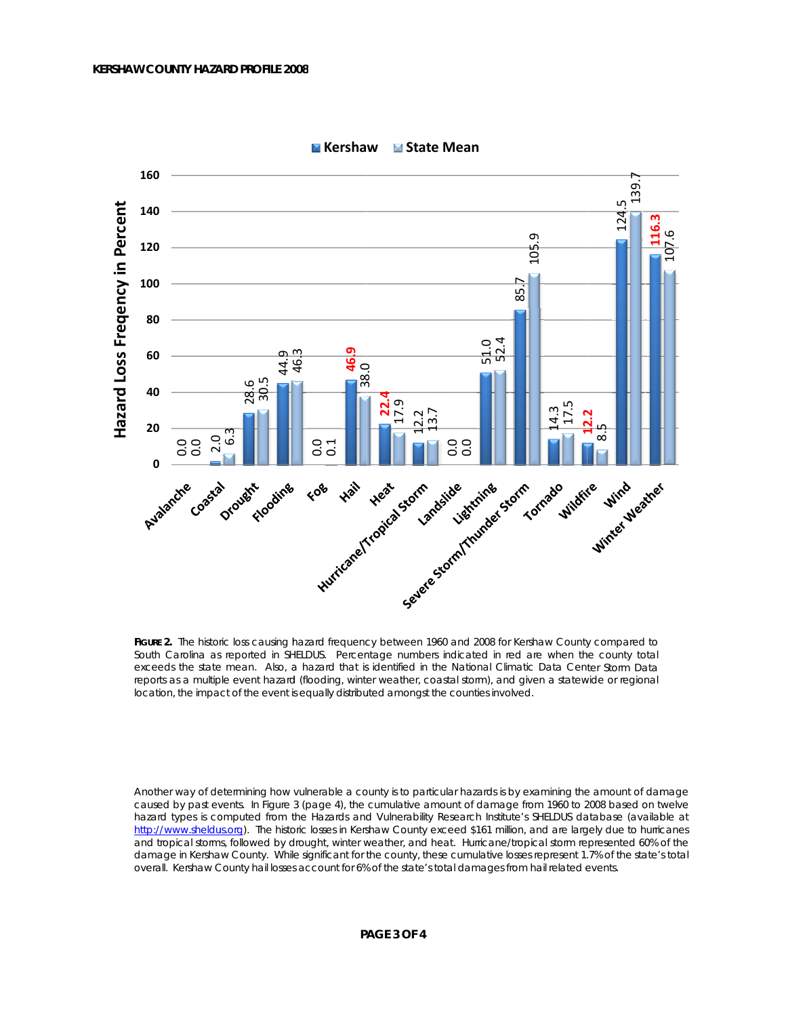

**M** Kershaw ■ State Mean

FIGURE 2. The historic loss causing hazard frequency between 1960 and 2008 for Kershaw County compared to South Carolina as reported in SHELDUS. Percentage numbers indicated in red are when the county total exceeds the state mean. Also, a hazard that is identified in the National Climatic Data Center Storm Data reports as a multiple event hazard (flooding, winter weather, coastal storm), and given a statewide or regional location, the impact of the event is equally distributed amongst the counties involved.

Another way of determining how vulnerable a county is to particular hazards is by examining the amount of damage caused by past events. In Figure 3 (page 4), the cumulative amount of damage from 1960 to 2008 based on twelve hazard types is computed from the Hazards and Vulnerability Research Institute's SHELDUS database (available at http://www.sheldus.org). The historic losses in Kershaw County exceed \$161 million, and are largely due to hurricanes and tropical storms, followed by drought, winter weather, and heat. Hurricane/tropical storm represented 60% of the damage in Kershaw County. While significant for the county, these cumulative losses represent 1.7% of the state's total overall. Kershaw County hall losses account for 6% of the state's total damages from hall related events.